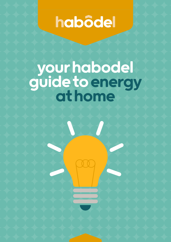# habôdel

# your habodel guide to energy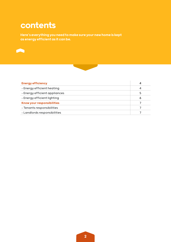## contents

Here's everything you need to make sure your new home is kept as energy efficient as it can be.





| <b>Energy efficiency</b>      |   |
|-------------------------------|---|
| - Energy efficient heating    |   |
| - Energy efficient appliances | 5 |
| - Energy efficient lighting   | Ô |
| Know your responsibilities    |   |
| - Tenants responsibilities    |   |
| - Landlords responsibilities  |   |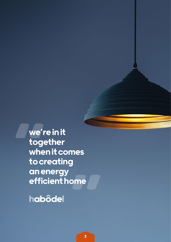we're in it together when it comes to creating an energy efficient home

habôdel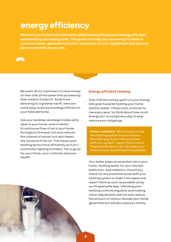## energy efficiency

We want you to feel safe and warm whilst making things more energy efficient and lowering your energy bills. This guide is to help you use energy to heat or cool your home, generate hot water and power all your appliances and devices as economically as you can.



We want all our customers to save money on their bills at the same time as lowering their carbon footprint. Aside from switching to a greener tariff, here are some ways to be more energy efficient in your habodel home.

Use your windows and keep trickle vents open in your home, even in winter. A continuous flow of air in your home throughout the year not only reduces the chance of mould, but also lowers the moisture in the air. This means your heating works more efficiently as it isn't constantly fighting humidity. This is good for your home, your contents and your health.

#### Energy efficient heating

Over half the money spent on your energy bills goes towards heating your home and hot water. These costs continue to rise every year. So think about how much energy you're using every day to help reduce your outgoings.

Please remember. We trust you to use the heating system in your home in the right way. If you find any issues with your system, report them via our Propertyfile App so we can keep your home as safe and efficient as possible.

Your boiler plays an essential role in your home, heating water for your kitchen, bathroom, and radiators. Ensure you check for any potential issues with your heating system or leaks from pipes and report them as soon as possible using our Propertyfile App. Checking your heating controls regularly and making minor adjustments will not only reduce the amount of carbon dioxide your home generates but will also save you money.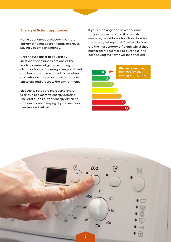#### Energy efficient appliances

Home appliances are becoming more energy efficient as technology improves, saving you time and money.

Greenhouse gases produced by inefficient appliances are one of the leading causes of global warming and climate change. So, using energy efficient appliances such as A-rated dishwashers and refrigerators saves energy, reduces emissions and protects the environment.

Electricity rates are increasing every year due to excessive energy demand. Therefore, look out for energy efficient appliances when buying dryers, washers, freezers and kettles.

If you're looking for a new appliance for your home, whether it is a washing machine, television or hairdryer, look for the energy rating label. A-rated devices are the most energy efficient; whilst they may initially cost more to purchase, the cost-saving over time will be beneficial.



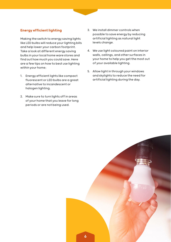#### Energy efficient lighting

Making the switch to energy saving lights like LED bulbs will reduce your lighting bills and help lower your carbon footprint. Take a look at different energy saving bulbs in your local home ware stores and find out how much you could save. Here are a few tips on how to best use lighting within your home;

- 1. Energy efficient lights like compact fluorescent or LED bulbs are a great alternative to incandescent or halogen lighting.
- 2. Make sure to turn lights off in areas of your home that you leave for long periods or are not being used.
- 3. We install dimmer controls when possible to save energy by reducing artificial lighting as natural light levels change.
- 4. We use light coloured paint on interior walls, ceilings, and other surfaces in your home to help you get the most out of your available lighting.
- 5. Allow light in through your windows and skylights to reduce the need for artificial lighting during the day.

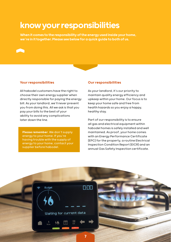### know your responsibilities

When it comes to the responsibility of the energy used inside your home, we're in it together. Please see below for a quick guide to both of us.

#### Your responsibilities

All habodel customers have the right to choose their own energy supplier when directly responsible for paying the energy bill. As your landlord, we'll never prevent you from doing this. All we ask is that you pay your bills to the best of your ability to avoid any complications later down the line.

Please remember. We don't supply energy to your home. If you're having trouble with the supply of energy to your home, contact your supplier before habodel.

#### Our responsibilities

As your landlord, it's our priority to maintain quality energy efficiency and upkeep within your home. Our focus is to keep your home safe and free from health hazards so you enjoy a happy, healthy stay.

Part of our responsibility is to ensure all gas and electrical equipment within habodel homes is safely installed and well maintained. As proof, your home comes with an Energy Performance Certificate (EPC) for the property, a routine Electrical Inspection Condition Report (EICR) and an annual Gas Safety Inspection certificate.